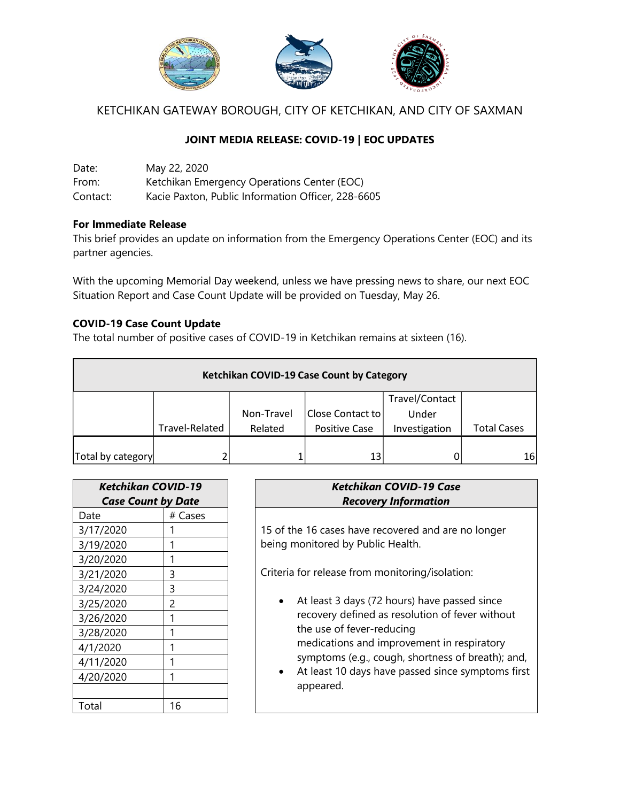

KETCHIKAN GATEWAY BOROUGH, CITY OF KETCHIKAN, AND CITY OF SAXMAN

# **JOINT MEDIA RELEASE: COVID-19 | EOC UPDATES**

Date: May 22, 2020 From: Ketchikan Emergency Operations Center (EOC) Contact: Kacie Paxton, Public Information Officer, 228-6605

### **For Immediate Release**

This brief provides an update on information from the Emergency Operations Center (EOC) and its partner agencies.

With the upcoming Memorial Day weekend, unless we have pressing news to share, our next EOC Situation Report and Case Count Update will be provided on Tuesday, May 26.

### **COVID-19 Case Count Update**

The total number of positive cases of COVID-19 in Ketchikan remains at sixteen (16).

| Ketchikan COVID-19 Case Count by Category |                |            |                      |                |                    |  |  |  |
|-------------------------------------------|----------------|------------|----------------------|----------------|--------------------|--|--|--|
|                                           |                |            |                      | Travel/Contact |                    |  |  |  |
|                                           |                | Non-Travel | Close Contact to     | Under          |                    |  |  |  |
|                                           | Travel-Related | Related    | <b>Positive Case</b> | Investigation  | <b>Total Cases</b> |  |  |  |
|                                           |                |            |                      |                |                    |  |  |  |
| Total by category                         |                |            | 13                   |                | 16                 |  |  |  |

| Ketchikan COVID-19        |         |  |  |  |
|---------------------------|---------|--|--|--|
| <b>Case Count by Date</b> |         |  |  |  |
| Date                      | # Cases |  |  |  |
| 3/17/2020                 |         |  |  |  |
| 3/19/2020                 |         |  |  |  |
| 3/20/2020                 |         |  |  |  |
| 3/21/2020                 | 3       |  |  |  |
| 3/24/2020                 | 3       |  |  |  |
| 3/25/2020                 | 2       |  |  |  |
| 3/26/2020                 |         |  |  |  |
| 3/28/2020                 |         |  |  |  |
| 4/1/2020                  |         |  |  |  |
| 4/11/2020                 |         |  |  |  |
| 4/20/2020                 |         |  |  |  |
|                           |         |  |  |  |
| Total                     | 16      |  |  |  |

## *Ketchikan COVID-19 Case Recovery Information*

15 of the 16 cases have recovered and are no longer being monitored by Public Health.

Criteria for release from monitoring/isolation:

- At least 3 days (72 hours) have passed since recovery defined as resolution of fever without the use of fever-reducing medications and improvement in respiratory symptoms (e.g., cough, shortness of breath); and,
- At least 10 days have passed since symptoms first appeared.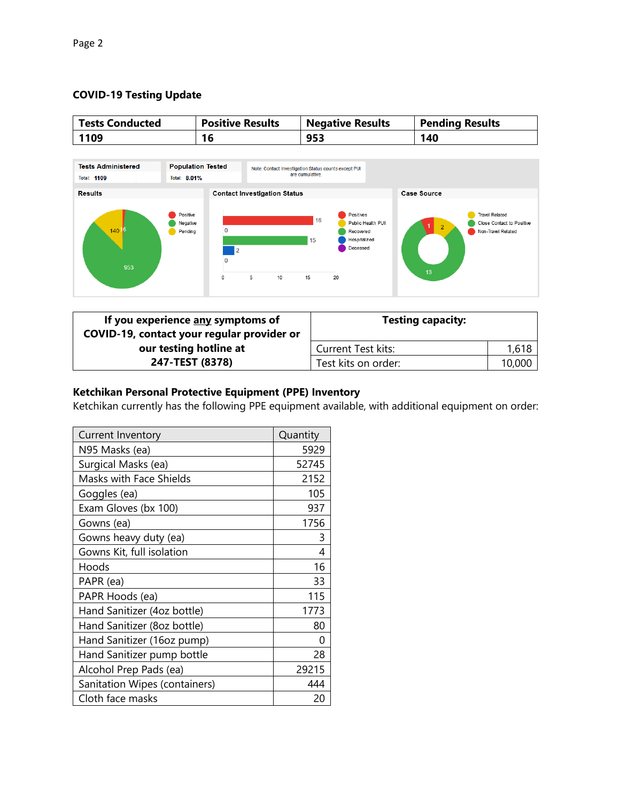## **COVID-19 Testing Update**



| If you experience any symptoms of<br>COVID-19, contact your regular provider or | <b>Testing capacity:</b>  |        |
|---------------------------------------------------------------------------------|---------------------------|--------|
| our testing hotline at                                                          | <b>Current Test kits:</b> | 1,618  |
| 247-TEST (8378)                                                                 | Test kits on order:       | 10,000 |

### **Ketchikan Personal Protective Equipment (PPE) Inventory**

Ketchikan currently has the following PPE equipment available, with additional equipment on order:

| Current Inventory              | Quantity |
|--------------------------------|----------|
| N95 Masks (ea)                 | 5929     |
| Surgical Masks (ea)            | 52745    |
| <b>Masks with Face Shields</b> | 2152     |
| Goggles (ea)                   | 105      |
| Exam Gloves (bx 100)           | 937      |
| Gowns (ea)                     | 1756     |
| Gowns heavy duty (ea)          | 3        |
| Gowns Kit, full isolation      | 4        |
| Hoods                          | 16       |
| PAPR (ea)                      | 33       |
| PAPR Hoods (ea)                | 115      |
| Hand Sanitizer (4oz bottle)    | 1773     |
| Hand Sanitizer (8oz bottle)    | 80       |
| Hand Sanitizer (16oz pump)     | O        |
| Hand Sanitizer pump bottle     | 28       |
| Alcohol Prep Pads (ea)         | 29215    |
| Sanitation Wipes (containers)  | 444      |
| Cloth face masks               | 20       |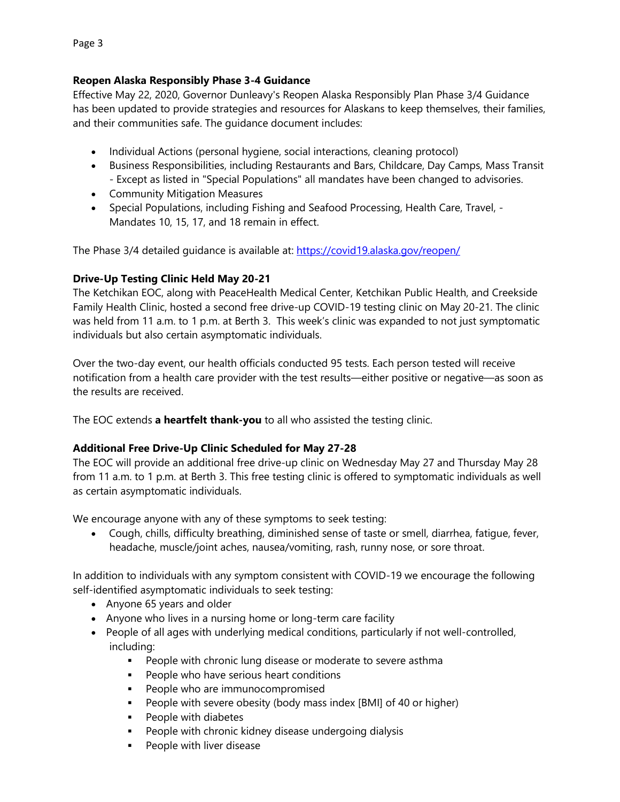### **Reopen Alaska Responsibly Phase 3-4 Guidance**

Effective May 22, 2020, Governor Dunleavy's Reopen Alaska Responsibly Plan Phase 3/4 Guidance has been updated to provide strategies and resources for Alaskans to keep themselves, their families, and their communities safe. The guidance document includes:

- Individual Actions (personal hygiene, social interactions, cleaning protocol)
- Business Responsibilities, including Restaurants and Bars, Childcare, Day Camps, Mass Transit - Except as listed in "Special Populations" all mandates have been changed to advisories.
- Community Mitigation Measures
- Special Populations, including Fishing and Seafood Processing, Health Care, Travel, -Mandates 10, 15, 17, and 18 remain in effect.

The Phase 3/4 detailed guidance is available at: <https://covid19.alaska.gov/reopen/>

### **Drive-Up Testing Clinic Held May 20-21**

The Ketchikan EOC, along with PeaceHealth Medical Center, Ketchikan Public Health, and Creekside Family Health Clinic, hosted a second free drive-up COVID-19 testing clinic on May 20-21. The clinic was held from 11 a.m. to 1 p.m. at Berth 3. This week's clinic was expanded to not just symptomatic individuals but also certain asymptomatic individuals.

Over the two-day event, our health officials conducted 95 tests. Each person tested will receive notification from a health care provider with the test results—either positive or negative—as soon as the results are received.

The EOC extends **a heartfelt thank-you** to all who assisted the testing clinic.

### **Additional Free Drive-Up Clinic Scheduled for May 27-28**

The EOC will provide an additional free drive-up clinic on Wednesday May 27 and Thursday May 28 from 11 a.m. to 1 p.m. at Berth 3. This free testing clinic is offered to symptomatic individuals as well as certain asymptomatic individuals.

We encourage anyone with any of these symptoms to seek testing:

 Cough, chills, difficulty breathing, diminished sense of taste or smell, diarrhea, fatigue, fever, headache, muscle/joint aches, nausea/vomiting, rash, runny nose, or sore throat.

In addition to individuals with any symptom consistent with COVID-19 we encourage the following self-identified asymptomatic individuals to seek testing:

- Anyone 65 years and older
- Anyone who lives in a nursing home or long-term care facility
- People of all ages with underlying medical conditions, particularly if not well-controlled, including:
	- **People with chronic lung disease or moderate to severe asthma**
	- **People who have serious heart conditions**
	- **People who are immunocompromised**
	- People with severe obesity (body mass index [BMI] of 40 or higher)
	- **People with diabetes**
	- **People with chronic kidney disease undergoing dialysis**
	- People with liver disease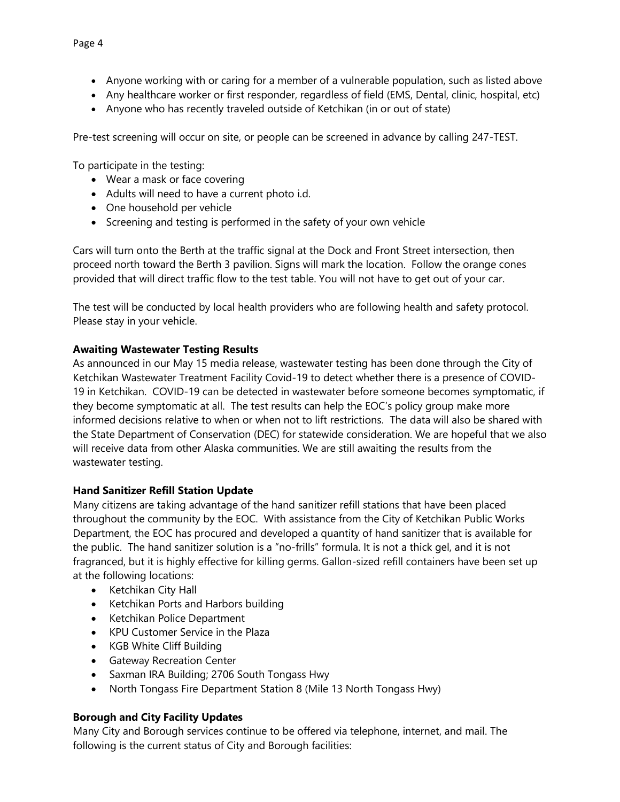- Anyone working with or caring for a member of a vulnerable population, such as listed above
- Any healthcare worker or first responder, regardless of field (EMS, Dental, clinic, hospital, etc)
- Anyone who has recently traveled outside of Ketchikan (in or out of state)

Pre-test screening will occur on site, or people can be screened in advance by calling 247-TEST.

To participate in the testing:

- Wear a mask or face covering
- Adults will need to have a current photo i.d.
- One household per vehicle
- Screening and testing is performed in the safety of your own vehicle

Cars will turn onto the Berth at the traffic signal at the Dock and Front Street intersection, then proceed north toward the Berth 3 pavilion. Signs will mark the location. Follow the orange cones provided that will direct traffic flow to the test table. You will not have to get out of your car.

The test will be conducted by local health providers who are following health and safety protocol. Please stay in your vehicle.

### **Awaiting Wastewater Testing Results**

As announced in our May 15 media release, wastewater testing has been done through the City of Ketchikan Wastewater Treatment Facility Covid-19 to detect whether there is a presence of COVID-19 in Ketchikan. COVID-19 can be detected in wastewater before someone becomes symptomatic, if they become symptomatic at all. The test results can help the EOC's policy group make more informed decisions relative to when or when not to lift restrictions. The data will also be shared with the State Department of Conservation (DEC) for statewide consideration. We are hopeful that we also will receive data from other Alaska communities. We are still awaiting the results from the wastewater testing.

### **Hand Sanitizer Refill Station Update**

Many citizens are taking advantage of the hand sanitizer refill stations that have been placed throughout the community by the EOC. With assistance from the City of Ketchikan Public Works Department, the EOC has procured and developed a quantity of hand sanitizer that is available for the public. The hand sanitizer solution is a "no-frills" formula. It is not a thick gel, and it is not fragranced, but it is highly effective for killing germs. Gallon-sized refill containers have been set up at the following locations:

- Ketchikan City Hall
- Ketchikan Ports and Harbors building
- Ketchikan Police Department
- KPU Customer Service in the Plaza
- KGB White Cliff Building
- **•** Gateway Recreation Center
- Saxman IRA Building; 2706 South Tongass Hwy
- North Tongass Fire Department Station 8 (Mile 13 North Tongass Hwy)

### **Borough and City Facility Updates**

Many City and Borough services continue to be offered via telephone, internet, and mail. The following is the current status of City and Borough facilities: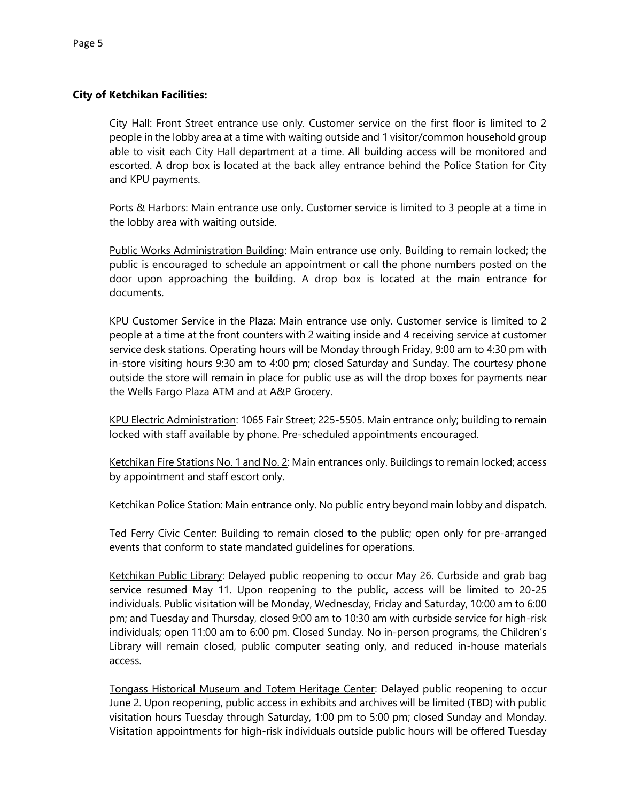#### **City of Ketchikan Facilities:**

City Hall: Front Street entrance use only. Customer service on the first floor is limited to 2 people in the lobby area at a time with waiting outside and 1 visitor/common household group able to visit each City Hall department at a time. All building access will be monitored and escorted. A drop box is located at the back alley entrance behind the Police Station for City and KPU payments.

Ports & Harbors: Main entrance use only. Customer service is limited to 3 people at a time in the lobby area with waiting outside.

Public Works Administration Building: Main entrance use only. Building to remain locked; the public is encouraged to schedule an appointment or call the phone numbers posted on the door upon approaching the building. A drop box is located at the main entrance for documents.

KPU Customer Service in the Plaza: Main entrance use only. Customer service is limited to 2 people at a time at the front counters with 2 waiting inside and 4 receiving service at customer service desk stations. Operating hours will be Monday through Friday, 9:00 am to 4:30 pm with in-store visiting hours 9:30 am to 4:00 pm; closed Saturday and Sunday. The courtesy phone outside the store will remain in place for public use as will the drop boxes for payments near the Wells Fargo Plaza ATM and at A&P Grocery.

KPU Electric Administration: 1065 Fair Street; 225-5505. Main entrance only; building to remain locked with staff available by phone. Pre-scheduled appointments encouraged.

Ketchikan Fire Stations No. 1 and No. 2: Main entrances only. Buildings to remain locked; access by appointment and staff escort only.

Ketchikan Police Station: Main entrance only. No public entry beyond main lobby and dispatch.

Ted Ferry Civic Center: Building to remain closed to the public; open only for pre-arranged events that conform to state mandated guidelines for operations.

Ketchikan Public Library: Delayed public reopening to occur May 26. Curbside and grab bag service resumed May 11. Upon reopening to the public, access will be limited to 20-25 individuals. Public visitation will be Monday, Wednesday, Friday and Saturday, 10:00 am to 6:00 pm; and Tuesday and Thursday, closed 9:00 am to 10:30 am with curbside service for high-risk individuals; open 11:00 am to 6:00 pm. Closed Sunday. No in-person programs, the Children's Library will remain closed, public computer seating only, and reduced in-house materials access.

Tongass Historical Museum and Totem Heritage Center: Delayed public reopening to occur June 2. Upon reopening, public access in exhibits and archives will be limited (TBD) with public visitation hours Tuesday through Saturday, 1:00 pm to 5:00 pm; closed Sunday and Monday. Visitation appointments for high-risk individuals outside public hours will be offered Tuesday